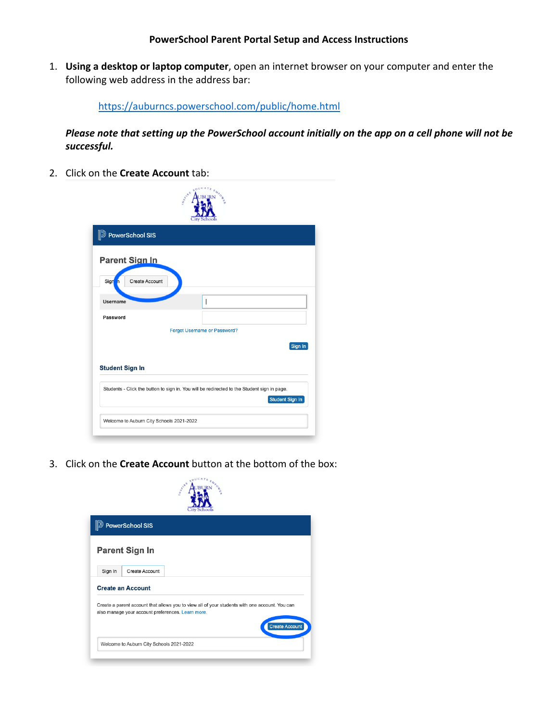1. **Using a desktop or laptop computer**, open an internet browser on your computer and enter the following web address in the address bar:

https://auburncs.powerschool.com/public/home.html

*Please note that setting up the PowerSchool account initially on the app on a cell phone will not be successful.*

2. Click on the **Create Account** tab:

| <b>D</b> PowerSchool SIS    |                                                                                             |
|-----------------------------|---------------------------------------------------------------------------------------------|
| <b>Parent Sign In</b>       |                                                                                             |
| Sign<br>Create Account<br>n |                                                                                             |
| Username                    |                                                                                             |
| Password                    |                                                                                             |
|                             | Forgot Username or Password?                                                                |
|                             | Sign In                                                                                     |
| <b>Student Sign In</b>      |                                                                                             |
|                             | Students - Click the button to sign in. You will be redirected to the Student sign in page. |

3. Click on the **Create Account** button at the bottom of the box:

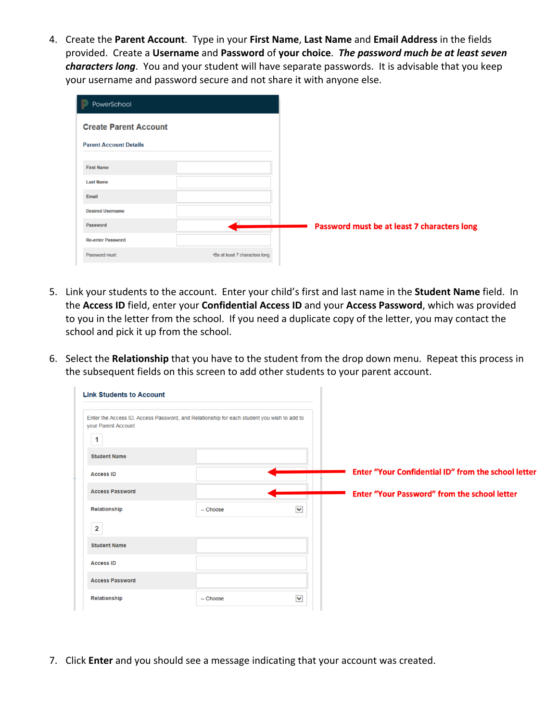4. Create the **Parent Account**. Type in your **First Name**, **Last Name** and **Email Address** in the fields provided. Create a **Username** and **Password** of **your choice**. *The password much be at least seven characters long*. You and your student will have separate passwords. It is advisable that you keep your username and password secure and not share it with anyone else.

| 19<br>PowerSchool             |                                |                                             |
|-------------------------------|--------------------------------|---------------------------------------------|
| <b>Create Parent Account</b>  |                                |                                             |
| <b>Parent Account Details</b> |                                |                                             |
| <b>First Name</b>             |                                |                                             |
| <b>Last Name</b>              |                                |                                             |
| Email                         |                                |                                             |
| <b>Desired Username</b>       |                                |                                             |
| Password                      |                                | Password must be at least 7 characters long |
| <b>Re-enter Password</b>      |                                |                                             |
| Password must:                | •Be at least 7 characters long |                                             |

- 5. Link your students to the account. Enter your child's first and last name in the **Student Name** field. In the **Access ID** field, enter your **Confidential Access ID** and your **Access Password**, which was provided to you in the letter from the school. If you need a duplicate copy of the letter, you may contact the school and pick it up from the school.
- 6. Select the **Relationship** that you have to the student from the drop down menu. Repeat this process in the subsequent fields on this screen to add other students to your parent account.

| <b>Link Students to Account</b>                                                                                                   |           |              |                                                     |
|-----------------------------------------------------------------------------------------------------------------------------------|-----------|--------------|-----------------------------------------------------|
| Enter the Access ID, Access Password, and Relationship for each student you wish to add to<br>your Parent Account<br>$\mathbf{1}$ |           |              |                                                     |
| <b>Student Name</b>                                                                                                               |           |              |                                                     |
| <b>Access ID</b>                                                                                                                  |           |              | Enter "Your Confidential ID" from the school letter |
| <b>Access Password</b>                                                                                                            |           |              | <b>Enter "Your Password" from the school letter</b> |
| Relationship                                                                                                                      | -- Choose | $\checkmark$ |                                                     |
| $\mathbf{2}$                                                                                                                      |           |              |                                                     |
| <b>Student Name</b>                                                                                                               |           |              |                                                     |
| <b>Access ID</b>                                                                                                                  |           |              |                                                     |
| <b>Access Password</b>                                                                                                            |           |              |                                                     |
| Relationship                                                                                                                      | -- Choose | $\checkmark$ |                                                     |

7. Click **Enter** and you should see a message indicating that your account was created.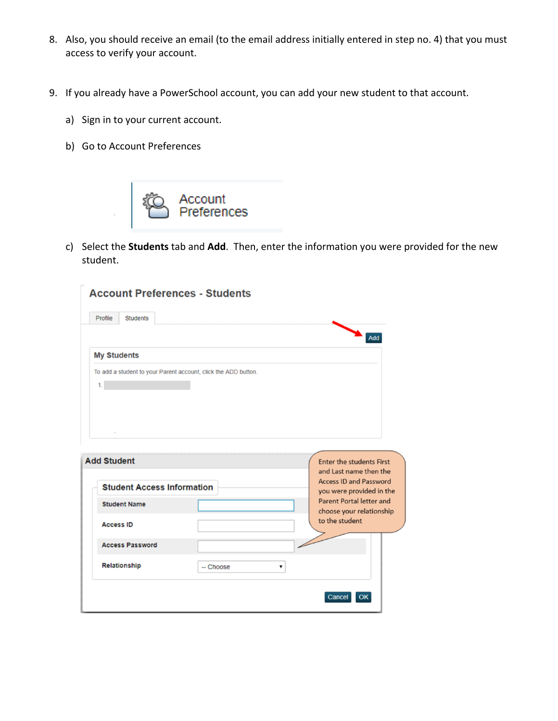- 8. Also, you should receive an email (to the email address initially entered in step no. 4) that you must access to verify your account.
- 9. If you already have a PowerSchool account, you can add your new student to that account.
	- a) Sign in to your current account.
	- b) Go to Account Preferences



c) Select the **Students** tab and **Add**. Then, enter the information you were provided for the new student.

| Profile<br><b>Students</b>                              |                                                                |                                                                                       |
|---------------------------------------------------------|----------------------------------------------------------------|---------------------------------------------------------------------------------------|
| <b>My Students</b>                                      |                                                                | Add                                                                                   |
| 1.                                                      | To add a student to your Parent account, click the ADD button. |                                                                                       |
|                                                         |                                                                |                                                                                       |
|                                                         |                                                                |                                                                                       |
|                                                         |                                                                |                                                                                       |
|                                                         |                                                                |                                                                                       |
|                                                         |                                                                | <b>Enter the students First</b><br>and Last name then the                             |
| <b>Add Student</b><br><b>Student Access Information</b> |                                                                |                                                                                       |
| <b>Student Name</b>                                     |                                                                | <b>Access ID and Password</b><br>you were provided in the<br>Parent Portal letter and |
| <b>Access ID</b>                                        |                                                                | to the student                                                                        |
| <b>Access Password</b>                                  |                                                                | choose your relationship                                                              |